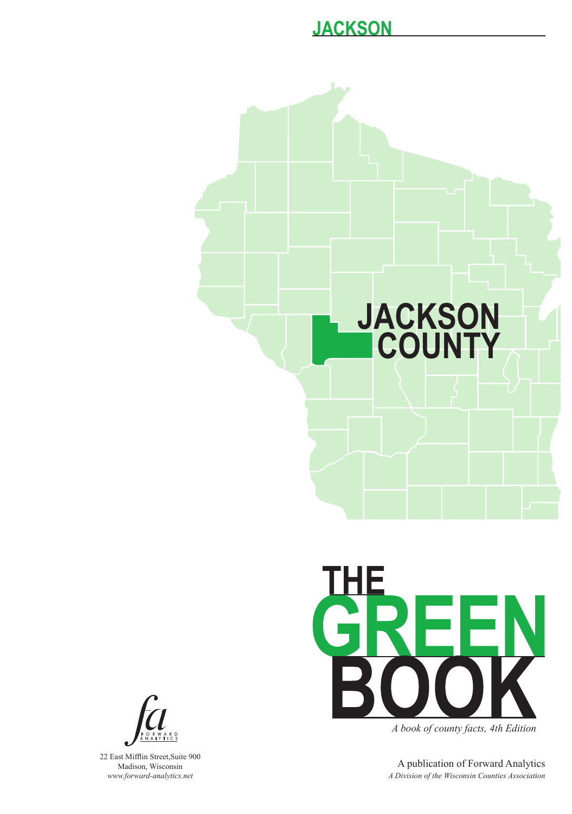# **JACKSON COUNTY**



*A book of county facts, 4th Edition*

A publication of Forward Analytics *A Division of the Wisconsin Counties Association*



22 East Mifflin Street,Suite 900 Madison, Wisconsin *www.forward-analytics.net*